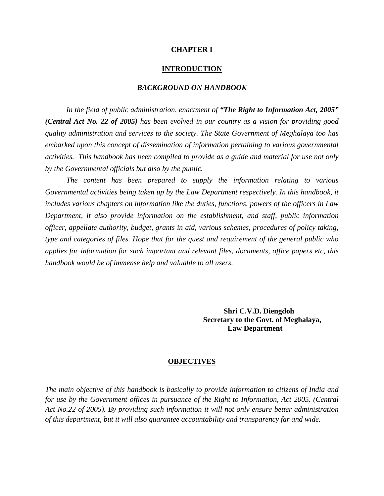#### **CHAPTER I**

#### **INTRODUCTION**

#### *BACKGROUND ON HANDBOOK*

*In the field of public administration, enactment of "The Right to Information Act, 2005" (Central Act No. 22 of 2005) has been evolved in our country as a vision for providing good quality administration and services to the society. The State Government of Meghalaya too has embarked upon this concept of dissemination of information pertaining to various governmental activities. This handbook has been compiled to provide as a guide and material for use not only by the Governmental officials but also by the public.* 

*The content has been prepared to supply the information relating to various Governmental activities being taken up by the Law Department respectively. In this handbook, it includes various chapters on information like the duties, functions, powers of the officers in Law Department, it also provide information on the establishment, and staff, public information officer, appellate authority, budget, grants in aid, various schemes, procedures of policy taking, type and categories of files. Hope that for the quest and requirement of the general public who applies for information for such important and relevant files, documents, office papers etc, this handbook would be of immense help and valuable to all users*.

> **Shri C.V.D. Diengdoh Secretary to the Govt. of Meghalaya, Law Department**

#### **OBJECTIVES**

*The main objective of this handbook is basically to provide information to citizens of India and for use by the Government offices in pursuance of the Right to Information, Act 2005. (Central Act No.22 of 2005). By providing such information it will not only ensure better administration of this department, but it will also guarantee accountability and transparency far and wide.*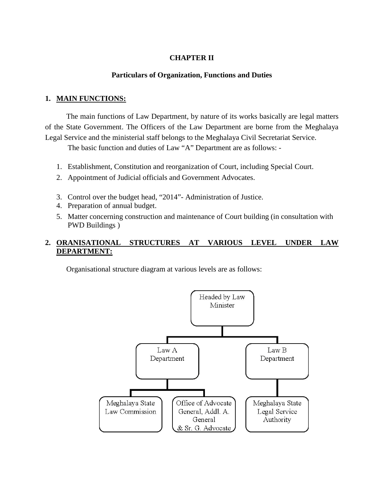## **CHAPTER II**

#### **Particulars of Organization, Functions and Duties**

#### **1. MAIN FUNCTIONS:**

The main functions of Law Department, by nature of its works basically are legal matters of the State Government. The Officers of the Law Department are borne from the Meghalaya Legal Service and the ministerial staff belongs to the Meghalaya Civil Secretariat Service.

The basic function and duties of Law "A" Department are as follows: -

- 1. Establishment, Constitution and reorganization of Court, including Special Court.
- 2. Appointment of Judicial officials and Government Advocates.
- 3. Control over the budget head, "2014"- Administration of Justice.
- 4. Preparation of annual budget.
- 5. Matter concerning construction and maintenance of Court building (in consultation with PWD Buildings )

#### **2.** STRUCTURES AT VARIOUS LEVEL UNDER LAW **DEPARTMENT:**

Organisational structure diagram at various levels are as follows:

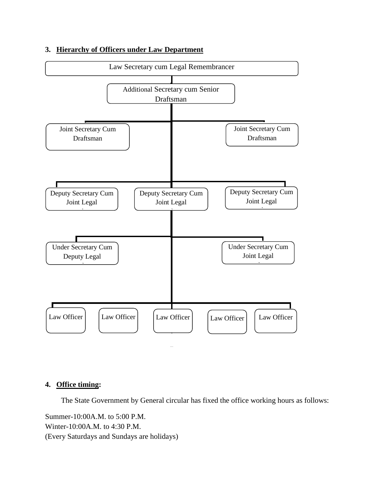

## **3. Hierarchy of Officers under Law Department**

### **4. Office timing :**

The State Government by General circular has fixed the office working hours as follows:

Summer-10:00A.M. to 5:00 P.M. Winter-10:00A.M. to 4:30 P.M. (Every Saturdays and Sundays are holidays)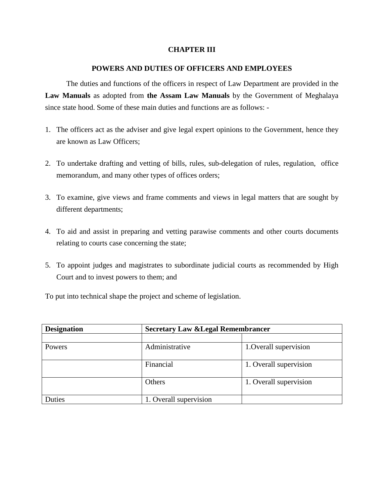#### **CHAPTER III**

#### **POWERS AND DUTIES OF OFFICERS AND EMPLOYEES**

The duties and functions of the officers in respect of Law Department are provided in the **Law Manuals** as adopted from **the Assam Law Manuals** by the Government of Meghalaya since state hood. Some of these main duties and functions are as follows: -

- 1. The officers act as the adviser and give legal expert opinions to the Government, hence they are known as Law Officers;
- 2. To undertake drafting and vetting of bills, rules, sub-delegation of rules, regulation, office memorandum, and many other types of offices orders;
- 3. To examine, give views and frame comments and views in legal matters that are sought by different departments;
- 4. To aid and assist in preparing and vetting parawise comments and other courts documents relating to courts case concerning the state;
- 5. To appoint judges and magistrates to subordinate judicial courts as recommended by High Court and to invest powers to them; and

To put into technical shape the project and scheme of legislation.

| <b>Designation</b> | <b>Secretary Law &amp; Legal Remembrancer</b> |                        |
|--------------------|-----------------------------------------------|------------------------|
|                    |                                               |                        |
| Powers             | Administrative                                | 1. Overall supervision |
|                    | Financial                                     | 1. Overall supervision |
|                    | Others                                        | 1. Overall supervision |
| Duties             | 1. Overall supervision                        |                        |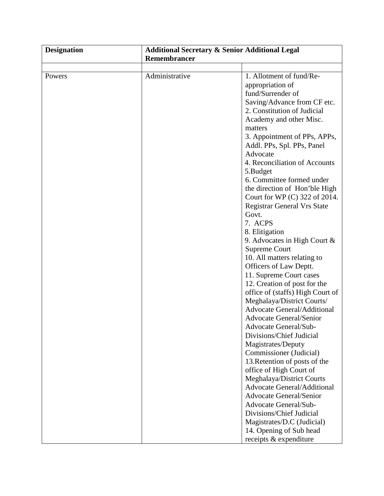| <b>Designation</b> | <b>Additional Secretary &amp; Senior Additional Legal</b> |                                    |
|--------------------|-----------------------------------------------------------|------------------------------------|
|                    | Remembrancer                                              |                                    |
|                    |                                                           |                                    |
| Powers             | Administrative                                            | 1. Allotment of fund/Re-           |
|                    |                                                           | appropriation of                   |
|                    |                                                           | fund/Surrender of                  |
|                    |                                                           | Saving/Advance from CF etc.        |
|                    |                                                           | 2. Constitution of Judicial        |
|                    |                                                           | Academy and other Misc.            |
|                    |                                                           | matters                            |
|                    |                                                           | 3. Appointment of PPs, APPs,       |
|                    |                                                           | Addl. PPs, Spl. PPs, Panel         |
|                    |                                                           | Advocate                           |
|                    |                                                           | 4. Reconciliation of Accounts      |
|                    |                                                           | 5.Budget                           |
|                    |                                                           | 6. Committee formed under          |
|                    |                                                           | the direction of Hon'ble High      |
|                    |                                                           | Court for WP (C) 322 of 2014.      |
|                    |                                                           | <b>Registrar General Vrs State</b> |
|                    |                                                           | Govt.                              |
|                    |                                                           | 7. ACPS                            |
|                    |                                                           | 8. Elitigation                     |
|                    |                                                           | 9. Advocates in High Court $\&$    |
|                    |                                                           | <b>Supreme Court</b>               |
|                    |                                                           | 10. All matters relating to        |
|                    |                                                           | Officers of Law Deptt.             |
|                    |                                                           | 11. Supreme Court cases            |
|                    |                                                           | 12. Creation of post for the       |
|                    |                                                           | office of (staffs) High Court of   |
|                    |                                                           | Meghalaya/District Courts/         |
|                    |                                                           | <b>Advocate General/Additional</b> |
|                    |                                                           | <b>Advocate General/Senior</b>     |
|                    |                                                           | Advocate General/Sub-              |
|                    |                                                           | Divisions/Chief Judicial           |
|                    |                                                           | Magistrates/Deputy                 |
|                    |                                                           | Commissioner (Judicial)            |
|                    |                                                           | 13. Retention of posts of the      |
|                    |                                                           | office of High Court of            |
|                    |                                                           | Meghalaya/District Courts          |
|                    |                                                           | <b>Advocate General/Additional</b> |
|                    |                                                           | <b>Advocate General/Senior</b>     |
|                    |                                                           | Advocate General/Sub-              |
|                    |                                                           | Divisions/Chief Judicial           |
|                    |                                                           | Magistrates/D.C (Judicial)         |
|                    |                                                           | 14. Opening of Sub head            |
|                    |                                                           |                                    |
|                    |                                                           | receipts & expenditure             |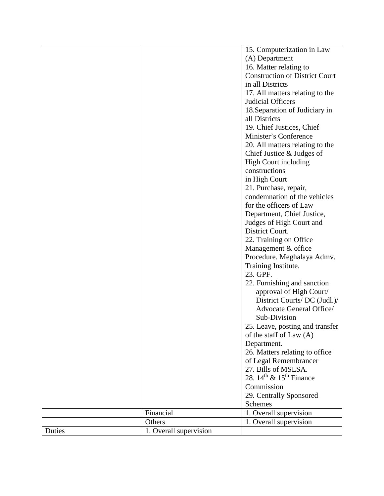|        |                        | 15. Computerization in Law                      |
|--------|------------------------|-------------------------------------------------|
|        |                        | (A) Department                                  |
|        |                        | 16. Matter relating to                          |
|        |                        | <b>Construction of District Court</b>           |
|        |                        | in all Districts                                |
|        |                        | 17. All matters relating to the                 |
|        |                        | Judicial Officers                               |
|        |                        |                                                 |
|        |                        | 18. Separation of Judiciary in                  |
|        |                        | all Districts                                   |
|        |                        | 19. Chief Justices, Chief                       |
|        |                        | Minister's Conference                           |
|        |                        | 20. All matters relating to the                 |
|        |                        | Chief Justice $&$ Judges of                     |
|        |                        | <b>High Court including</b>                     |
|        |                        | constructions                                   |
|        |                        | in High Court                                   |
|        |                        | 21. Purchase, repair,                           |
|        |                        | condemnation of the vehicles                    |
|        |                        | for the officers of Law                         |
|        |                        | Department, Chief Justice,                      |
|        |                        | Judges of High Court and                        |
|        |                        | District Court.                                 |
|        |                        | 22. Training on Office                          |
|        |                        | Management & office                             |
|        |                        | Procedure. Meghalaya Admv.                      |
|        |                        | Training Institute.                             |
|        |                        | 23. GPF.                                        |
|        |                        | 22. Furnishing and sanction                     |
|        |                        | approval of High Court/                         |
|        |                        | District Courts/ DC (Judl.)/                    |
|        |                        | Advocate General Office/                        |
|        |                        | Sub-Division                                    |
|        |                        | 25. Leave, posting and transfer                 |
|        |                        | of the staff of Law (A)                         |
|        |                        | Department.                                     |
|        |                        | 26. Matters relating to office                  |
|        |                        | of Legal Remembrancer                           |
|        |                        | 27. Bills of MSLSA.                             |
|        |                        | 28. $14^{\text{th}}$ & $15^{\text{th}}$ Finance |
|        |                        |                                                 |
|        |                        | Commission                                      |
|        |                        | 29. Centrally Sponsored                         |
|        |                        | Schemes                                         |
|        | Financial              | 1. Overall supervision                          |
|        | Others                 | 1. Overall supervision                          |
| Duties | 1. Overall supervision |                                                 |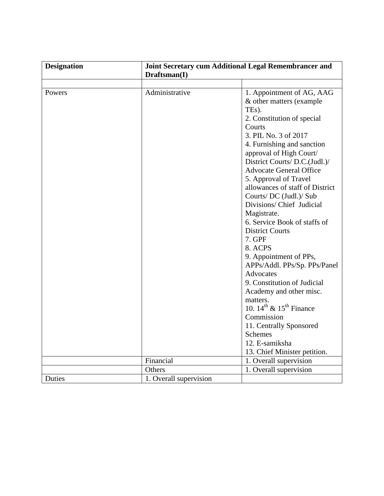| <b>Designation</b> |                        | Joint Secretary cum Additional Legal Remembrancer and<br>Draftsman(I) |  |
|--------------------|------------------------|-----------------------------------------------------------------------|--|
|                    |                        |                                                                       |  |
| Powers             | Administrative         | 1. Appointment of AG, AAG                                             |  |
|                    |                        | & other matters (example                                              |  |
|                    |                        | TEs).                                                                 |  |
|                    |                        | 2. Constitution of special                                            |  |
|                    |                        | Courts                                                                |  |
|                    |                        | 3. PIL No. 3 of 2017                                                  |  |
|                    |                        | 4. Furnishing and sanction                                            |  |
|                    |                        | approval of High Court/                                               |  |
|                    |                        | District Courts/ D.C.(Judl.)/                                         |  |
|                    |                        | <b>Advocate General Office</b>                                        |  |
|                    |                        | 5. Approval of Travel                                                 |  |
|                    |                        | allowances of staff of District                                       |  |
|                    |                        | Courts/ DC (Judl.)/ Sub                                               |  |
|                    |                        | Divisions/ Chief Judicial                                             |  |
|                    |                        | Magistrate.                                                           |  |
|                    |                        | 6. Service Book of staffs of                                          |  |
|                    |                        | <b>District Courts</b>                                                |  |
|                    |                        | 7. GPF                                                                |  |
|                    |                        | 8. ACPS                                                               |  |
|                    |                        | 9. Appointment of PPs,                                                |  |
|                    |                        | APPs/Addl. PPs/Sp. PPs/Panel                                          |  |
|                    |                        | Advocates                                                             |  |
|                    |                        | 9. Constitution of Judicial                                           |  |
|                    |                        | Academy and other misc.                                               |  |
|                    |                        | matters.                                                              |  |
|                    |                        | 10. $14^{\text{th}}$ & $15^{\text{th}}$ Finance                       |  |
|                    |                        | Commission                                                            |  |
|                    |                        | 11. Centrally Sponsored                                               |  |
|                    |                        | <b>Schemes</b>                                                        |  |
|                    |                        | 12. E-samiksha                                                        |  |
|                    |                        | 13. Chief Minister petition.                                          |  |
|                    | Financial              | 1. Overall supervision                                                |  |
|                    | Others                 | 1. Overall supervision                                                |  |
| <b>Duties</b>      | 1. Overall supervision |                                                                       |  |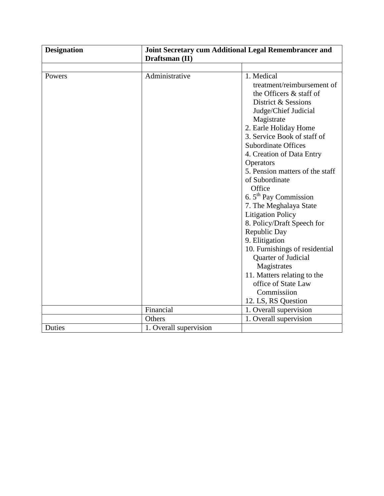| <b>Designation</b> | Draftsman (II)         | Joint Secretary cum Additional Legal Remembrancer and |  |
|--------------------|------------------------|-------------------------------------------------------|--|
|                    |                        |                                                       |  |
| Powers             | Administrative         | 1. Medical                                            |  |
|                    |                        | treatment/reimbursement of                            |  |
|                    |                        | the Officers & staff of                               |  |
|                    |                        | District & Sessions                                   |  |
|                    |                        | Judge/Chief Judicial                                  |  |
|                    |                        | Magistrate                                            |  |
|                    |                        | 2. Earle Holiday Home                                 |  |
|                    |                        | 3. Service Book of staff of                           |  |
|                    |                        | <b>Subordinate Offices</b>                            |  |
|                    |                        | 4. Creation of Data Entry                             |  |
|                    |                        | Operators                                             |  |
|                    |                        | 5. Pension matters of the staff                       |  |
|                    |                        | of Subordinate                                        |  |
|                    |                        | Office                                                |  |
|                    |                        | 6. $5th$ Pay Commission                               |  |
|                    |                        | 7. The Meghalaya State                                |  |
|                    |                        | <b>Litigation Policy</b>                              |  |
|                    |                        | 8. Policy/Draft Speech for                            |  |
|                    |                        | Republic Day                                          |  |
|                    |                        | 9. Elitigation                                        |  |
|                    |                        | 10. Furnishings of residential                        |  |
|                    |                        | Quarter of Judicial                                   |  |
|                    |                        | Magistrates                                           |  |
|                    |                        | 11. Matters relating to the                           |  |
|                    |                        | office of State Law                                   |  |
|                    |                        | Commissiion                                           |  |
|                    |                        | 12. LS, RS Question                                   |  |
|                    | Financial              | 1. Overall supervision                                |  |
|                    | Others                 | 1. Overall supervision                                |  |
| Duties             | 1. Overall supervision |                                                       |  |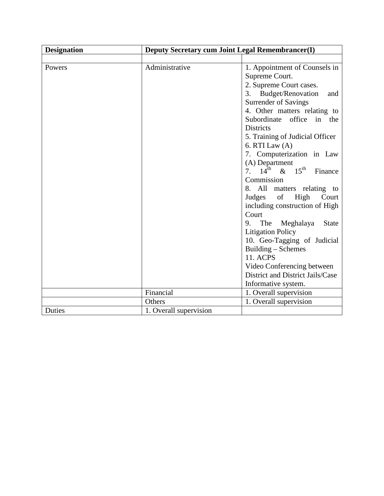| <b>Designation</b> | Deputy Secretary cum Joint Legal Remembrancer(I) |                                                                                                                                                                                                                                                                                                                                                                                                                                                                                                                                                                                                                                                                                                                                 |
|--------------------|--------------------------------------------------|---------------------------------------------------------------------------------------------------------------------------------------------------------------------------------------------------------------------------------------------------------------------------------------------------------------------------------------------------------------------------------------------------------------------------------------------------------------------------------------------------------------------------------------------------------------------------------------------------------------------------------------------------------------------------------------------------------------------------------|
|                    |                                                  |                                                                                                                                                                                                                                                                                                                                                                                                                                                                                                                                                                                                                                                                                                                                 |
| Powers             | Administrative                                   | 1. Appointment of Counsels in<br>Supreme Court.<br>2. Supreme Court cases.<br>3. Budget/Renovation<br>and<br><b>Surrender of Savings</b><br>4. Other matters relating to<br>Subordinate office in the<br><b>Districts</b><br>5. Training of Judicial Officer<br>6. RTI Law $(A)$<br>7. Computerization in Law<br>(A) Department<br>7. $14^{th}$ & $15^{th}$<br>Finance<br>Commission<br>8. All matters relating to<br>of<br>High<br>Judges<br>Court<br>including construction of High<br>Court<br>9. The Meghalaya<br><b>State</b><br><b>Litigation Policy</b><br>10. Geo-Tagging of Judicial<br>Building – Schemes<br><b>11. ACPS</b><br>Video Conferencing between<br>District and District Jails/Case<br>Informative system. |
|                    | Financial                                        | 1. Overall supervision                                                                                                                                                                                                                                                                                                                                                                                                                                                                                                                                                                                                                                                                                                          |
|                    | Others                                           | 1. Overall supervision                                                                                                                                                                                                                                                                                                                                                                                                                                                                                                                                                                                                                                                                                                          |
| Duties             | 1. Overall supervision                           |                                                                                                                                                                                                                                                                                                                                                                                                                                                                                                                                                                                                                                                                                                                                 |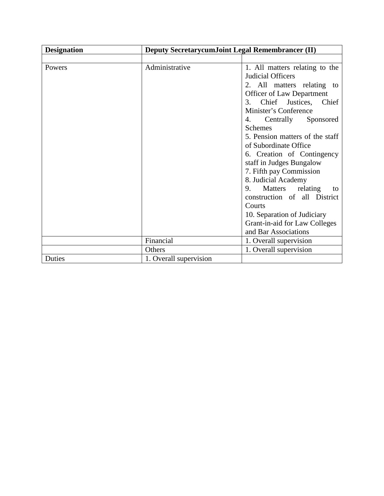| <b>Designation</b> |                        | <b>Deputy SecretarycumJoint Legal Remembrancer (II)</b> |  |
|--------------------|------------------------|---------------------------------------------------------|--|
|                    |                        |                                                         |  |
| Powers             | Administrative         | 1. All matters relating to the                          |  |
|                    |                        | Judicial Officers                                       |  |
|                    |                        | 2. All matters relating to                              |  |
|                    |                        | Officer of Law Department                               |  |
|                    |                        | 3. Chief Justices, Chief                                |  |
|                    |                        | Minister's Conference                                   |  |
|                    |                        | 4. Centrally Sponsored                                  |  |
|                    |                        | <b>Schemes</b>                                          |  |
|                    |                        | 5. Pension matters of the staff                         |  |
|                    |                        | of Subordinate Office                                   |  |
|                    |                        | 6. Creation of Contingency                              |  |
|                    |                        | staff in Judges Bungalow                                |  |
|                    |                        | 7. Fifth pay Commission                                 |  |
|                    |                        | 8. Judicial Academy                                     |  |
|                    |                        | Matters relating<br>9.<br>to                            |  |
|                    |                        | construction of all District                            |  |
|                    |                        | Courts                                                  |  |
|                    |                        | 10. Separation of Judiciary                             |  |
|                    |                        | Grant-in-aid for Law Colleges                           |  |
|                    |                        | and Bar Associations                                    |  |
|                    | Financial              | 1. Overall supervision                                  |  |
|                    | Others                 | 1. Overall supervision                                  |  |
| Duties             | 1. Overall supervision |                                                         |  |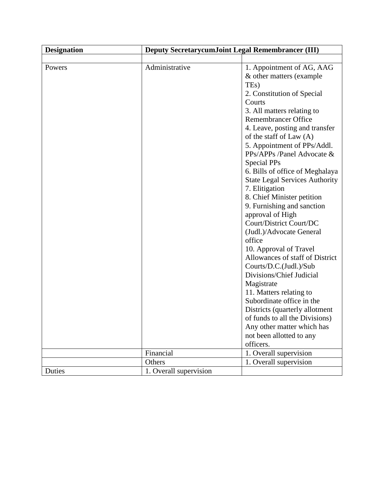| <b>Designation</b> | Deputy SecretarycumJoint Legal Remembrancer (III) |                                       |
|--------------------|---------------------------------------------------|---------------------------------------|
|                    |                                                   |                                       |
| Powers             | Administrative                                    | 1. Appointment of AG, AAG             |
|                    |                                                   | & other matters (example)             |
|                    |                                                   | TE <sub>s</sub> )                     |
|                    |                                                   | 2. Constitution of Special            |
|                    |                                                   | Courts                                |
|                    |                                                   | 3. All matters relating to            |
|                    |                                                   | <b>Remembrancer Office</b>            |
|                    |                                                   | 4. Leave, posting and transfer        |
|                    |                                                   | of the staff of Law (A)               |
|                    |                                                   | 5. Appointment of PPs/Addl.           |
|                    |                                                   | PPs/APPs /Panel Advocate &            |
|                    |                                                   | Special PPs                           |
|                    |                                                   | 6. Bills of office of Meghalaya       |
|                    |                                                   | <b>State Legal Services Authority</b> |
|                    |                                                   | 7. Elitigation                        |
|                    |                                                   | 8. Chief Minister petition            |
|                    |                                                   | 9. Furnishing and sanction            |
|                    |                                                   | approval of High                      |
|                    |                                                   | Court/District Court/DC               |
|                    |                                                   | (Judl.)/Advocate General              |
|                    |                                                   | office                                |
|                    |                                                   | 10. Approval of Travel                |
|                    |                                                   | Allowances of staff of District       |
|                    |                                                   | Courts/D.C.(Judl.)/Sub                |
|                    |                                                   | Divisions/Chief Judicial              |
|                    |                                                   | Magistrate                            |
|                    |                                                   | 11. Matters relating to               |
|                    |                                                   | Subordinate office in the             |
|                    |                                                   | Districts (quarterly allotment        |
|                    |                                                   | of funds to all the Divisions)        |
|                    |                                                   | Any other matter which has            |
|                    |                                                   | not been allotted to any              |
|                    |                                                   | officers.                             |
|                    | Financial                                         | 1. Overall supervision                |
|                    | Others                                            | 1. Overall supervision                |
| Duties             | 1. Overall supervision                            |                                       |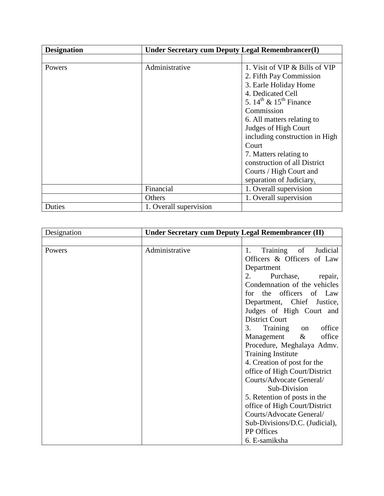| <b>Designation</b> | Under Secretary cum Deputy Legal Remembrancer(I) |                                                |
|--------------------|--------------------------------------------------|------------------------------------------------|
|                    |                                                  |                                                |
| Powers             | Administrative                                   | 1. Visit of VIP & Bills of VIP                 |
|                    |                                                  | 2. Fifth Pay Commission                        |
|                    |                                                  | 3. Earle Holiday Home                          |
|                    |                                                  | 4. Dedicated Cell                              |
|                    |                                                  | 5. $14^{\text{th}}$ & $15^{\text{th}}$ Finance |
|                    |                                                  | Commission                                     |
|                    |                                                  | 6. All matters relating to                     |
|                    |                                                  | Judges of High Court                           |
|                    |                                                  | including construction in High                 |
|                    |                                                  | Court                                          |
|                    |                                                  | 7. Matters relating to                         |
|                    |                                                  | construction of all District                   |
|                    |                                                  | Courts / High Court and                        |
|                    |                                                  | separation of Judiciary.                       |
|                    | Financial                                        | 1. Overall supervision                         |
|                    | Others                                           | 1. Overall supervision                         |
| Duties             | 1. Overall supervision                           |                                                |

| Designation | Under Secretary cum Deputy Legal Remembrancer (II) |                                  |
|-------------|----------------------------------------------------|----------------------------------|
|             |                                                    |                                  |
| Powers      | Administrative                                     | of<br>Training<br>Judicial<br>1. |
|             |                                                    | Officers & Officers of Law       |
|             |                                                    | Department                       |
|             |                                                    | Purchase,<br>2.<br>repair,       |
|             |                                                    | Condemnation of the vehicles     |
|             |                                                    | for the officers of Law          |
|             |                                                    | Department, Chief Justice,       |
|             |                                                    | Judges of High Court and         |
|             |                                                    | <b>District Court</b>            |
|             |                                                    | office<br>Training on<br>3.      |
|             |                                                    | office<br>Management<br>$\&$     |
|             |                                                    | Procedure, Meghalaya Admv.       |
|             |                                                    | <b>Training Institute</b>        |
|             |                                                    | 4. Creation of post for the      |
|             |                                                    | office of High Court/District    |
|             |                                                    | Courts/Advocate General/         |
|             |                                                    | Sub-Division                     |
|             |                                                    | 5. Retention of posts in the     |
|             |                                                    | office of High Court/District    |
|             |                                                    | Courts/Advocate General/         |
|             |                                                    | Sub-Divisions/D.C. (Judicial),   |
|             |                                                    | PP Offices                       |
|             |                                                    | 6. E-samiksha                    |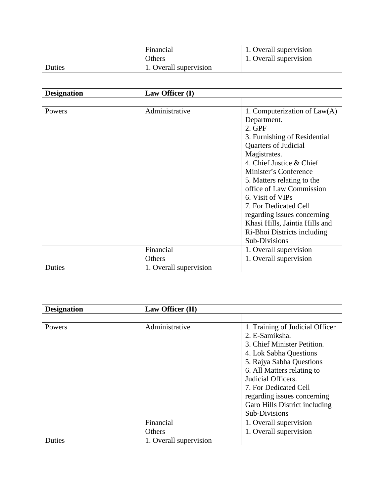|        | Financial             | . Overall supervision  |
|--------|-----------------------|------------------------|
|        | Others                | 1. Overall supervision |
| Duties | . Overall supervision |                        |

| <b>Designation</b> | Law Officer (I)        |                                |
|--------------------|------------------------|--------------------------------|
|                    |                        |                                |
| Powers             | Administrative         | 1. Computerization of $Law(A)$ |
|                    |                        | Department.                    |
|                    |                        | 2. GPF                         |
|                    |                        | 3. Furnishing of Residential   |
|                    |                        | Quarters of Judicial           |
|                    |                        | Magistrates.                   |
|                    |                        | 4. Chief Justice & Chief       |
|                    |                        | Minister's Conference          |
|                    |                        | 5. Matters relating to the     |
|                    |                        | office of Law Commission       |
|                    |                        | 6. Visit of VIPs               |
|                    |                        | 7. For Dedicated Cell          |
|                    |                        | regarding issues concerning    |
|                    |                        | Khasi Hills, Jaintia Hills and |
|                    |                        | Ri-Bhoi Districts including    |
|                    |                        | Sub-Divisions                  |
|                    | Financial              | 1. Overall supervision         |
|                    | Others                 | 1. Overall supervision         |
| Duties             | 1. Overall supervision |                                |

| <b>Designation</b> | Law Officer (II)       |                                 |
|--------------------|------------------------|---------------------------------|
|                    |                        |                                 |
| Powers             | Administrative         | 1. Training of Judicial Officer |
|                    |                        | 2. E-Samiksha.                  |
|                    |                        | 3. Chief Minister Petition.     |
|                    |                        | 4. Lok Sabha Questions          |
|                    |                        | 5. Rajya Sabha Questions        |
|                    |                        | 6. All Matters relating to      |
|                    |                        | Judicial Officers.              |
|                    |                        | 7. For Dedicated Cell           |
|                    |                        | regarding issues concerning     |
|                    |                        | Garo Hills District including   |
|                    |                        | Sub-Divisions                   |
|                    | Financial              | 1. Overall supervision          |
|                    | Others                 | 1. Overall supervision          |
| Duties             | 1. Overall supervision |                                 |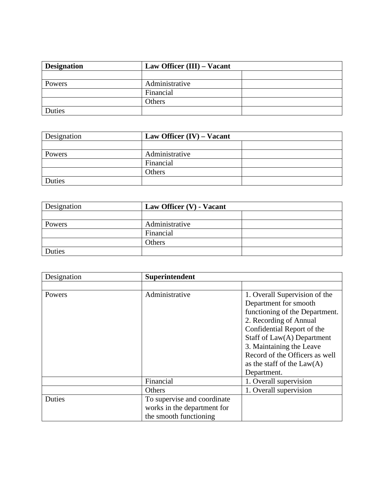| <b>Designation</b> |                | Law Officer (III) – Vacant |  |
|--------------------|----------------|----------------------------|--|
|                    |                |                            |  |
| Powers             | Administrative |                            |  |
|                    | Financial      |                            |  |
|                    | Others         |                            |  |
| Duties             |                |                            |  |

| Designation | Law Officer $(IV)$ – Vacant |  |
|-------------|-----------------------------|--|
|             |                             |  |
| Powers      | Administrative              |  |
|             | Financial                   |  |
|             | Others                      |  |
| Duties      |                             |  |

| Designation | Law Officer (V) - Vacant |  |
|-------------|--------------------------|--|
|             |                          |  |
| Powers      | Administrative           |  |
|             | Financial                |  |
|             | Others                   |  |
| Duties      |                          |  |

| Designation   | Superintendent              |                                |
|---------------|-----------------------------|--------------------------------|
|               |                             |                                |
| Powers        | Administrative              | 1. Overall Supervision of the  |
|               |                             | Department for smooth          |
|               |                             | functioning of the Department. |
|               |                             | 2. Recording of Annual         |
|               |                             | Confidential Report of the     |
|               |                             | Staff of Law(A) Department     |
|               |                             | 3. Maintaining the Leave       |
|               |                             | Record of the Officers as well |
|               |                             | as the staff of the $Law(A)$   |
|               |                             | Department.                    |
|               | Financial                   | 1. Overall supervision         |
|               | Others                      | 1. Overall supervision         |
| <b>Duties</b> | To supervise and coordinate |                                |
|               | works in the department for |                                |
|               | the smooth functioning      |                                |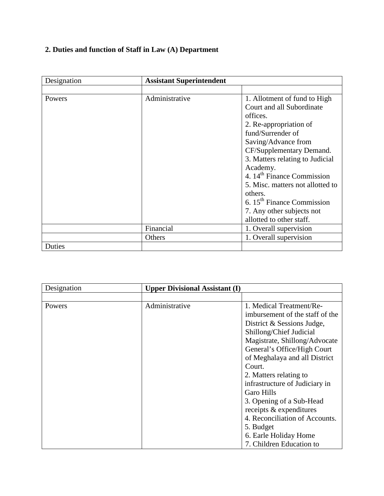# **2. Duties and function of Staff in Law (A) Department**

| Designation | <b>Assistant Superintendent</b> |                                        |
|-------------|---------------------------------|----------------------------------------|
|             |                                 |                                        |
| Powers      | Administrative                  | 1. Allotment of fund to High           |
|             |                                 | Court and all Subordinate              |
|             |                                 | offices.                               |
|             |                                 | 2. Re-appropriation of                 |
|             |                                 | fund/Surrender of                      |
|             |                                 | Saving/Advance from                    |
|             |                                 | CF/Supplementary Demand.               |
|             |                                 | 3. Matters relating to Judicial        |
|             |                                 | Academy.                               |
|             |                                 | 4. 14 <sup>th</sup> Finance Commission |
|             |                                 | 5. Misc. matters not allotted to       |
|             |                                 | others.                                |
|             |                                 | 6. $15th$ Finance Commission           |
|             |                                 | 7. Any other subjects not              |
|             |                                 | allotted to other staff.               |
|             | Financial                       | 1. Overall supervision                 |
|             | Others                          | 1. Overall supervision                 |
| Duties      |                                 |                                        |

| Designation | <b>Upper Divisional Assistant (I)</b> |                                 |
|-------------|---------------------------------------|---------------------------------|
|             |                                       |                                 |
| Powers      | Administrative                        | 1. Medical Treatment/Re-        |
|             |                                       | imbursement of the staff of the |
|             |                                       | District & Sessions Judge,      |
|             |                                       | Shillong/Chief Judicial         |
|             |                                       | Magistrate, Shillong/Advocate   |
|             |                                       | General's Office/High Court     |
|             |                                       | of Meghalaya and all District   |
|             |                                       | Court.                          |
|             |                                       | 2. Matters relating to          |
|             |                                       | infrastructure of Judiciary in  |
|             |                                       | <b>Garo Hills</b>               |
|             |                                       | 3. Opening of a Sub-Head        |
|             |                                       | receipts & expenditures         |
|             |                                       | 4. Reconciliation of Accounts.  |
|             |                                       | 5. Budget                       |
|             |                                       | 6. Earle Holiday Home           |
|             |                                       | 7. Children Education to        |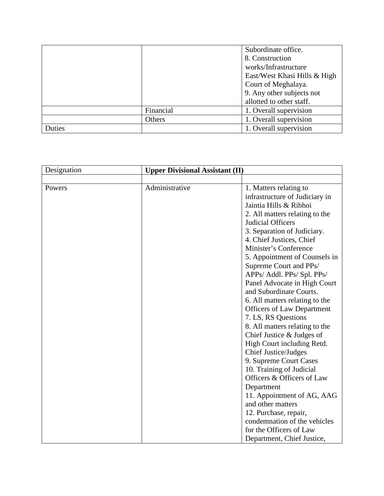|        |           | Subordinate office.          |
|--------|-----------|------------------------------|
|        |           | 8. Construction              |
|        |           | works/Infrastructure         |
|        |           | East/West Khasi Hills & High |
|        |           | Court of Meghalaya.          |
|        |           | 9. Any other subjects not    |
|        |           | allotted to other staff.     |
|        | Financial | 1. Overall supervision       |
|        | Others    | 1. Overall supervision       |
| Duties |           | 1. Overall supervision       |

| Designation | <b>Upper Divisional Assistant (II)</b> |                                   |
|-------------|----------------------------------------|-----------------------------------|
|             |                                        |                                   |
| Powers      | Administrative                         | 1. Matters relating to            |
|             |                                        | infrastructure of Judiciary in    |
|             |                                        | Jaintia Hills & Ribhoi            |
|             |                                        | 2. All matters relating to the    |
|             |                                        | Judicial Officers                 |
|             |                                        | 3. Separation of Judiciary.       |
|             |                                        | 4. Chief Justices, Chief          |
|             |                                        | Minister's Conference             |
|             |                                        | 5. Appointment of Counsels in     |
|             |                                        | Supreme Court and PPs/            |
|             |                                        | APPs/ Addl. PPs/ Spl. PPs/        |
|             |                                        | Panel Advocate in High Court      |
|             |                                        | and Subordinate Courts.           |
|             |                                        | 6. All matters relating to the    |
|             |                                        | <b>Officers of Law Department</b> |
|             |                                        | 7. LS, RS Questions               |
|             |                                        | 8. All matters relating to the    |
|             |                                        | Chief Justice & Judges of         |
|             |                                        | High Court including Retd.        |
|             |                                        | <b>Chief Justice/Judges</b>       |
|             |                                        | 9. Supreme Court Cases            |
|             |                                        | 10. Training of Judicial          |
|             |                                        | Officers & Officers of Law        |
|             |                                        | Department                        |
|             |                                        | 11. Appointment of AG, AAG        |
|             |                                        | and other matters                 |
|             |                                        | 12. Purchase, repair,             |
|             |                                        | condemnation of the vehicles      |
|             |                                        | for the Officers of Law           |
|             |                                        | Department, Chief Justice,        |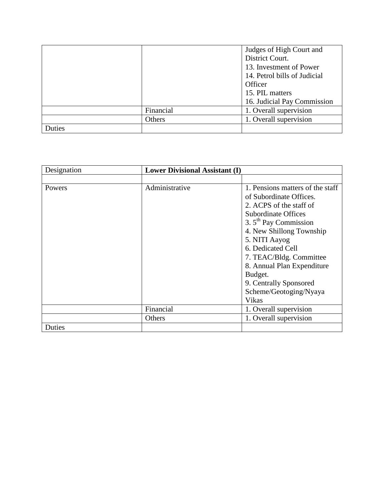|        |           | Judges of High Court and     |
|--------|-----------|------------------------------|
|        |           | District Court.              |
|        |           | 13. Investment of Power      |
|        |           | 14. Petrol bills of Judicial |
|        |           | Officer                      |
|        |           | 15. PIL matters              |
|        |           | 16. Judicial Pay Commission  |
|        | Financial | 1. Overall supervision       |
|        | Others    | 1. Overall supervision       |
| Duties |           |                              |

| Designation | <b>Lower Divisional Assistant (I)</b> |                                  |
|-------------|---------------------------------------|----------------------------------|
|             |                                       |                                  |
| Powers      | Administrative                        | 1. Pensions matters of the staff |
|             |                                       | of Subordinate Offices.          |
|             |                                       | 2. ACPS of the staff of          |
|             |                                       | <b>Subordinate Offices</b>       |
|             |                                       | 3. $5th$ Pay Commission          |
|             |                                       | 4. New Shillong Township         |
|             |                                       | 5. NITI Aayog                    |
|             |                                       | 6. Dedicated Cell                |
|             |                                       | 7. TEAC/Bldg. Committee          |
|             |                                       | 8. Annual Plan Expenditure       |
|             |                                       | Budget.                          |
|             |                                       | 9. Centrally Sponsored           |
|             |                                       | Scheme/Geotoging/Nyaya           |
|             |                                       | Vikas                            |
|             | Financial                             | 1. Overall supervision           |
|             | Others                                | 1. Overall supervision           |
| Duties      |                                       |                                  |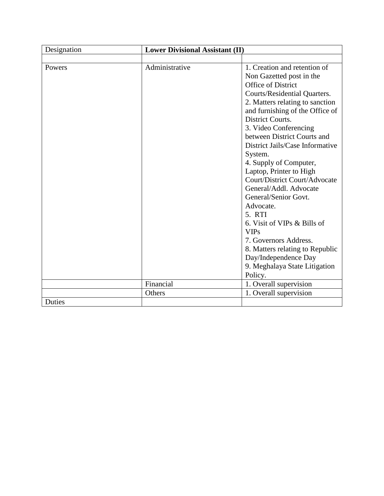| Designation | <b>Lower Divisional Assistant (II)</b> |                                 |
|-------------|----------------------------------------|---------------------------------|
|             |                                        |                                 |
| Powers      | Administrative                         | 1. Creation and retention of    |
|             |                                        | Non Gazetted post in the        |
|             |                                        | Office of District              |
|             |                                        | Courts/Residential Quarters.    |
|             |                                        | 2. Matters relating to sanction |
|             |                                        | and furnishing of the Office of |
|             |                                        | District Courts.                |
|             |                                        | 3. Video Conferencing           |
|             |                                        | between District Courts and     |
|             |                                        | District Jails/Case Informative |
|             |                                        | System.                         |
|             |                                        | 4. Supply of Computer,          |
|             |                                        | Laptop, Printer to High         |
|             |                                        | Court/District Court/Advocate   |
|             |                                        | General/Addl. Advocate          |
|             |                                        | General/Senior Govt.            |
|             |                                        | Advocate.                       |
|             |                                        | 5. RTI                          |
|             |                                        | 6. Visit of VIPs & Bills of     |
|             |                                        | <b>VIPs</b>                     |
|             |                                        | 7. Governors Address.           |
|             |                                        | 8. Matters relating to Republic |
|             |                                        | Day/Independence Day            |
|             |                                        | 9. Meghalaya State Litigation   |
|             |                                        | Policy.                         |
|             | Financial                              | 1. Overall supervision          |
|             | Others                                 | 1. Overall supervision          |
| Duties      |                                        |                                 |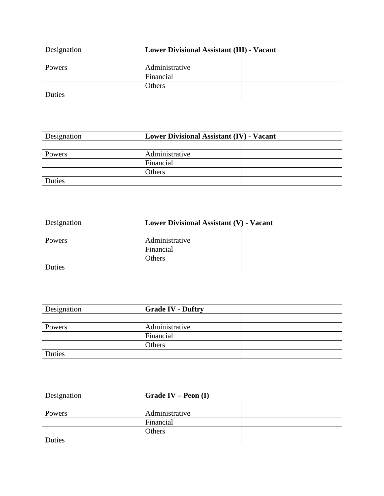| Designation | <b>Lower Divisional Assistant (III) - Vacant</b> |  |
|-------------|--------------------------------------------------|--|
|             |                                                  |  |
| Powers      | Administrative                                   |  |
|             | Financial                                        |  |
|             | <b>Others</b>                                    |  |
| Duties      |                                                  |  |

| Designation | <b>Lower Divisional Assistant (IV) - Vacant</b> |  |
|-------------|-------------------------------------------------|--|
|             |                                                 |  |
| Powers      | Administrative                                  |  |
|             | Financial                                       |  |
|             | <b>Others</b>                                   |  |
| Duties      |                                                 |  |

| Designation | Lower Divisional Assistant (V) - Vacant |  |
|-------------|-----------------------------------------|--|
|             |                                         |  |
| Powers      | Administrative                          |  |
|             | Financial                               |  |
|             | Others                                  |  |
| Duties      |                                         |  |

| Designation | <b>Grade IV - Duftry</b> |  |
|-------------|--------------------------|--|
|             |                          |  |
| Powers      | Administrative           |  |
|             | Financial                |  |
|             | Others                   |  |
| Duties      |                          |  |

| Designation<br>Grade IV – Peon $(I)$ |                |  |
|--------------------------------------|----------------|--|
|                                      |                |  |
| Powers                               | Administrative |  |
|                                      | Financial      |  |
|                                      | Others         |  |
| Duties                               |                |  |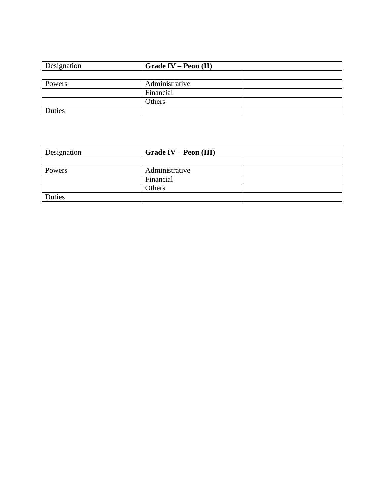| Designation | Grade IV – Peon $(II)$ |  |
|-------------|------------------------|--|
|             |                        |  |
| Powers      | Administrative         |  |
|             | Financial              |  |
|             | Others                 |  |
| Duties      |                        |  |

| Designation | Grade IV – Peon (III) |  |
|-------------|-----------------------|--|
|             |                       |  |
| Powers      | Administrative        |  |
|             | Financial             |  |
|             | Others                |  |
| Duties      |                       |  |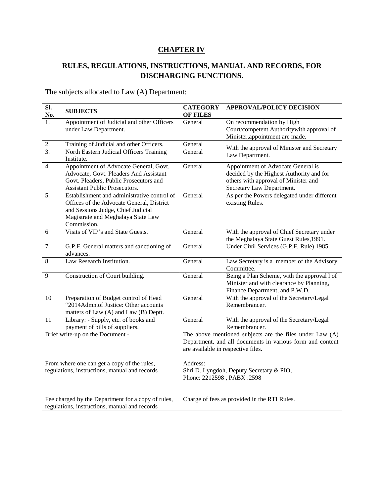## **CHAPTER IV**

## **RULES, REGULATIONS, INSTRUCTIONS, MANUAL AND RECORDS, FOR DISCHARGING FUNCTIONS.**

The subjects allocated to Law (A) Department:

| $\overline{\text{SL}}$<br>No.                                                                       | <b>SUBJECTS</b>                                                                                                                                                                     | <b>CATEGORY</b><br><b>OF FILES</b> | <b>APPROVAL/POLICY DECISION</b>                                                                                                                             |
|-----------------------------------------------------------------------------------------------------|-------------------------------------------------------------------------------------------------------------------------------------------------------------------------------------|------------------------------------|-------------------------------------------------------------------------------------------------------------------------------------------------------------|
| 1.                                                                                                  | Appointment of Judicial and other Officers<br>under Law Department.                                                                                                                 | General                            | On recommendation by High<br>Court/competent Authoritywith approval of<br>Minister, appointment are made.                                                   |
| 2.<br>$\overline{3}$ .                                                                              | Training of Judicial and other Officers.<br>North Eastern Judicial Officers Training<br>Institute.                                                                                  | General<br>General                 | With the approval of Minister and Secretary<br>Law Department.                                                                                              |
| $\overline{4}$ .                                                                                    | Appointment of Advocate General, Govt.<br>Advocate, Govt. Pleaders And Assistant<br>Govt. Pleaders, Public Prosecutors and<br>Assistant Public Prosecutors.                         | General                            | Appointment of Advocate General is<br>decided by the Highest Authority and for<br>others with approval of Minister and<br>Secretary Law Department.         |
| $\overline{5}$ .                                                                                    | Establishment and administrative control of<br>Offices of the Advocate General, District<br>and Sessions Judge, Chief Judicial<br>Magistrate and Meghalaya State Law<br>Commission. | General                            | As per the Powers delegated under different<br>existing Rules.                                                                                              |
| 6                                                                                                   | Visits of VIP's and State Guests.                                                                                                                                                   | General                            | With the approval of Chief Secretary under<br>the Meghalaya State Guest Rules, 1991.                                                                        |
| 7.                                                                                                  | G.P.F. General matters and sanctioning of<br>advances.                                                                                                                              | General                            | Under Civil Services (G.P.F, Rule) 1985.                                                                                                                    |
| 8                                                                                                   | Law Research Institution.                                                                                                                                                           | General                            | Law Secretary is a member of the Advisory<br>Committee.                                                                                                     |
| 9                                                                                                   | Construction of Court building.                                                                                                                                                     | General                            | Being a Plan Scheme, with the approval l of<br>Minister and with clearance by Planning,<br>Finance Department, and P.W.D.                                   |
| 10                                                                                                  | Preparation of Budget control of Head<br>"2014Admn.of Justice: Other accounts<br>matters of Law (A) and Law (B) Deptt.                                                              | General                            | With the approval of the Secretary/Legal<br>Remembrancer.                                                                                                   |
| $\overline{11}$                                                                                     | Library: - Supply, etc. of books and<br>payment of bills of suppliers.                                                                                                              | General                            | With the approval of the Secretary/Legal<br>Remembrancer.                                                                                                   |
| Brief write-up on the Document -                                                                    |                                                                                                                                                                                     |                                    | The above mentioned subjects are the files under Law (A)<br>Department, and all documents in various form and content<br>are available in respective files. |
| From where one can get a copy of the rules,<br>regulations, instructions, manual and records        |                                                                                                                                                                                     | Address:                           | Shri D. Lyngdoh, Deputy Secretary & PIO,<br>Phone: 2212598, PABX:2598                                                                                       |
| Fee charged by the Department for a copy of rules,<br>regulations, instructions, manual and records |                                                                                                                                                                                     |                                    | Charge of fees as provided in the RTI Rules.                                                                                                                |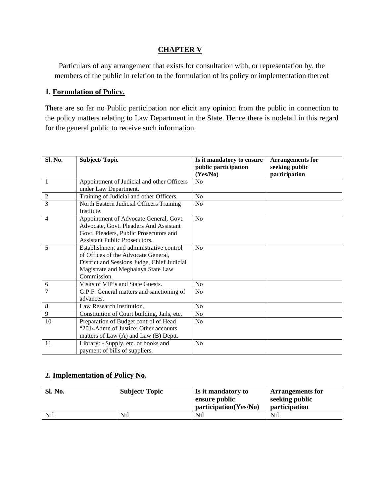### **CHAPTER V**

Particulars of any arrangement that exists for consultation with, or representation by, the members of the public in relation to the formulation of its policy or implementation thereof

#### **1. Formulation of Policy.**

There are so far no Public participation nor elicit any opinion from the public in connection to the policy matters relating to Law Department in the State. Hence there is nodetail in this regard for the general public to receive such information.

| Sl. No.        | <b>Subject/Topic</b>                                                                                                                                                                | Is it mandatory to ensure<br>public participation<br>(Yes/No) | <b>Arrangements for</b><br>seeking public<br>participation |
|----------------|-------------------------------------------------------------------------------------------------------------------------------------------------------------------------------------|---------------------------------------------------------------|------------------------------------------------------------|
| 1              | Appointment of Judicial and other Officers<br>under Law Department.                                                                                                                 | No                                                            |                                                            |
| $\overline{c}$ | Training of Judicial and other Officers.                                                                                                                                            | N <sub>0</sub>                                                |                                                            |
| 3              | North Eastern Judicial Officers Training<br>Institute.                                                                                                                              | N <sub>0</sub>                                                |                                                            |
| 4              | Appointment of Advocate General, Govt.<br>Advocate, Govt. Pleaders And Assistant<br>Govt. Pleaders, Public Prosecutors and<br><b>Assistant Public Prosecutors.</b>                  | No                                                            |                                                            |
| 5              | Establishment and administrative control<br>of Offices of the Advocate General,<br>District and Sessions Judge, Chief Judicial<br>Magistrate and Meghalaya State Law<br>Commission. | N <sub>0</sub>                                                |                                                            |
| 6              | Visits of VIP's and State Guests.                                                                                                                                                   | No                                                            |                                                            |
| 7              | G.P.F. General matters and sanctioning of<br>advances.                                                                                                                              | N <sub>0</sub>                                                |                                                            |
| 8              | Law Research Institution.                                                                                                                                                           | N <sub>0</sub>                                                |                                                            |
| 9              | Constitution of Court building, Jails, etc.                                                                                                                                         | N <sub>0</sub>                                                |                                                            |
| 10             | Preparation of Budget control of Head<br>"2014Admn.of Justice: Other accounts<br>matters of Law (A) and Law (B) Deptt.                                                              | No                                                            |                                                            |
| 11             | Library: - Supply, etc. of books and<br>payment of bills of suppliers.                                                                                                              | N <sub>0</sub>                                                |                                                            |

### **2. Implementation of Policy No .**

| <b>Sl. No.</b> | <b>Subject/Topic</b> | Is it mandatory to<br>ensure public | <b>Arrangements for</b><br>seeking public |
|----------------|----------------------|-------------------------------------|-------------------------------------------|
|                |                      | participation(Yes/No)               | <i>participation</i>                      |
| Nil            | Nil                  | Nil                                 | Nil                                       |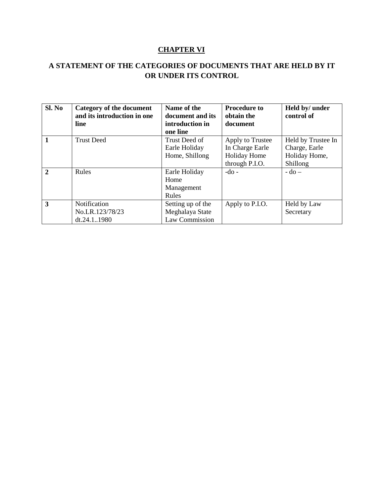## **CHAPTER VI**

## **A STATEMENT OF THE CATEGORIES OF DOCUMENTS THAT ARE HELD BY IT OR UNDER ITS CONTROL**

| Sl. No                  | <b>Category of the document</b><br>and its introduction in one<br>line | Name of the<br>document and its<br>introduction in<br>one line | <b>Procedure to</b><br>obtain the<br>document | Held by/ under<br>control of |
|-------------------------|------------------------------------------------------------------------|----------------------------------------------------------------|-----------------------------------------------|------------------------------|
| $\vert$ 1               | <b>Trust Deed</b>                                                      | Trust Deed of                                                  | Apply to Trustee                              | Held by Trustee In           |
|                         |                                                                        | Earle Holiday                                                  | In Charge Earle                               | Charge, Earle                |
|                         |                                                                        | Home, Shillong                                                 | <b>Holiday Home</b>                           | Holiday Home,                |
|                         |                                                                        |                                                                | through P.I.O.                                | Shillong                     |
| $\overline{2}$          | Rules                                                                  | Earle Holiday                                                  | $-do$ -                                       | $-do-$                       |
|                         |                                                                        | Home                                                           |                                               |                              |
|                         |                                                                        | Management                                                     |                                               |                              |
|                         |                                                                        | Rules                                                          |                                               |                              |
| $\overline{\mathbf{3}}$ | Notification                                                           | Setting up of the                                              | Apply to P.I.O.                               | Held by Law                  |
|                         | No.LR.123/78/23                                                        | Meghalaya State                                                |                                               | Secretary                    |
|                         | dt.24.11980                                                            | Law Commission                                                 |                                               |                              |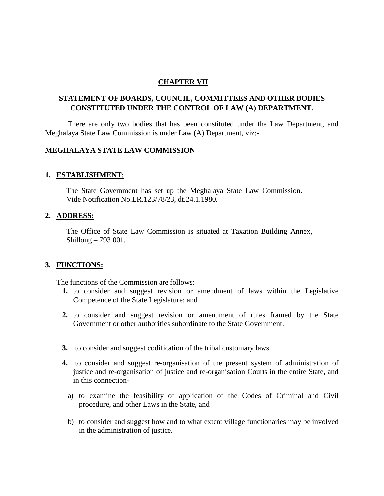#### **CHAPTER VII**

## **STATEMENT OF BOARDS, COUNCIL, COMMITTEES AND OTHER BODIES CONSTITUTED UNDER THE CONTROL OF LAW (A) DEPARTMENT.**

There are only two bodies that has been constituted under the Law Department, and Meghalaya State Law Commission is under Law (A) Department, viz;-

### **MEGHALAYA STATE LAW COMMISSION**

### **1. ESTABLISHMENT**:

The State Government has set up the Meghalaya State Law Commission. Vide Notification No.LR.123/78/23, dt.24.1.1980.

#### **2. ADDRESS:**

The Office of State Law Commission is situated at Taxation Building Annex, Shillong – 793 001.

#### **3. FUNCTIONS:**

The functions of the Commission are follows:

- **1.** to consider and suggest revision or amendment of laws within the Legislative Competence of the State Legislature; and
- **2.** to consider and suggest revision or amendment of rules framed by the State Government or other authorities subordinate to the State Government.
- **3.** to consider and suggest codification of the tribal customary laws.
- **4.** to consider and suggest re-organisation of the present system of administration of justice and re-organisation of justice and re-organisation Courts in the entire State, and in this connection
	- a) to examine the feasibility of application of the Codes of Criminal and Civil procedure, and other Laws in the State, and
	- b) to consider and suggest how and to what extent village functionaries may be involved in the administration of justice.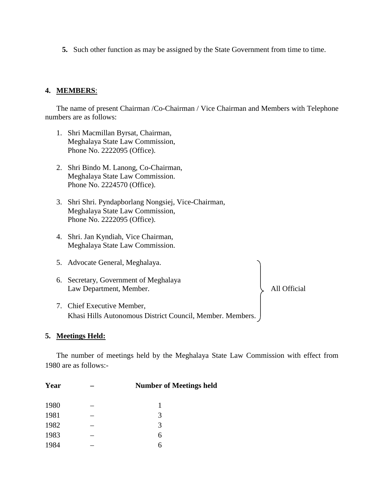**5.** Such other function as may be assigned by the State Government from time to time.

#### **4. MEMBERS**:

The name of present Chairman /Co-Chairman / Vice Chairman and Members with Telephone numbers are as follows:

- 1. Shri Macmillan Byrsat, Chairman, Meghalaya State Law Commission, Phone No. 2222095 (Office).
- 2. Shri Bindo M. Lanong, Co-Chairman, Meghalaya State Law Commission. Phone No. 2224570 (Office).
- 3. Shri Shri. Pyndapborlang Nongsiej, Vice-Chairman, Meghalaya State Law Commission, Phone No. 2222095 (Office).
- 4. Shri. Jan Kyndiah, Vice Chairman, Meghalaya State Law Commission.
- 5. Advocate General, Meghalaya.
- 6. Secretary, Government of Meghalaya Law Department, Member. All Official
- 7. Chief Executive Member, Khasi Hills Autonomous District Council, Member. Members.

#### **5. Meetings Held:**

The number of meetings held by the Meghalaya State Law Commission with effect from 1980 are as follows:-

| Year | <b>Number of Meetings held</b> |
|------|--------------------------------|
| 1980 |                                |
| 1981 | 3                              |
| 1982 | 3                              |
| 1983 | 6                              |
| 1984 | 6                              |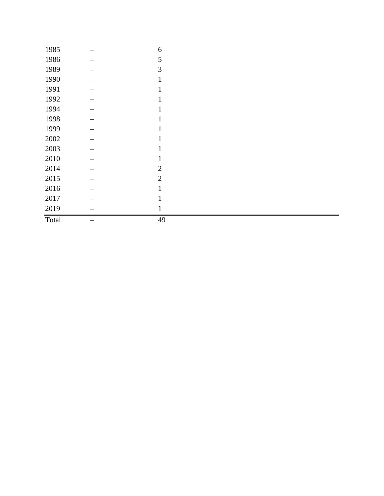| 1985     | 6              |
|----------|----------------|
| 1986     | 5              |
| 1989     | 3              |
| 1990     | 1              |
| 1991     |                |
| 1992     |                |
| 1994     |                |
| 1998     |                |
| 1999     |                |
| $2002\,$ |                |
| 2003     |                |
| 2010     |                |
| 2014     | $\overline{2}$ |
| 2015     | $\overline{2}$ |
| 2016     |                |
| 2017     |                |
| 2019     | $\mathbf{1}$   |
| Total    | 49             |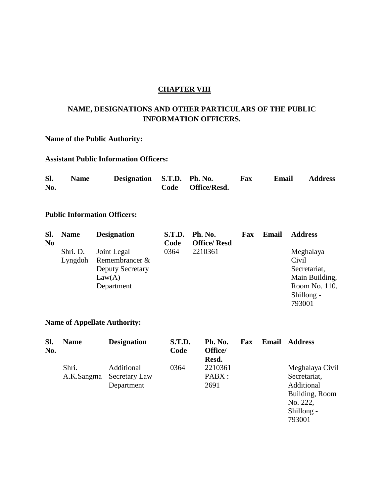#### **CHAPTER VIII**

## **NAME, DESIGNATIONS AND OTHER PARTICULARS OF THE PUBLIC INFORMATION OFFICERS.**

## **Name of the Public Authority:**

### **Assistant Public Information Officers:**

| Sl. | <b>Name</b> | Designation S.T.D. Ph. No. |                   | Fax | Email | <b>Address</b> |
|-----|-------------|----------------------------|-------------------|-----|-------|----------------|
| No. |             |                            | Code Office/Resd. |     |       |                |

### **Public Information Officers:**

| SI.<br>N <sub>0</sub> | <b>Name</b> | <b>Designation</b>        | <b>S.T.D.</b><br>Code | Ph. No.<br><b>Office/Resd</b> | Fax | Email | <b>Address</b> |
|-----------------------|-------------|---------------------------|-----------------------|-------------------------------|-----|-------|----------------|
|                       | Shri. D.    | Joint Legal               | 0364                  | 2210361                       |     |       | Meghalaya      |
|                       |             | Lyngdoh Remembrancer $\&$ |                       |                               |     |       | Civil          |
|                       |             | <b>Deputy Secretary</b>   |                       |                               |     |       | Secretariat,   |
|                       |             | Law(A)                    |                       |                               |     |       | Main Building, |
|                       |             | Department                |                       |                               |     |       | Room No. 110,  |
|                       |             |                           |                       |                               |     |       | Shillong -     |
|                       |             |                           |                       |                               |     |       | 793001         |

## **Name of Appellate Authority:**

| SI.<br>No. | <b>Name</b>         | <b>Designation</b>                        | <b>S.T.D.</b><br>Code | Ph. No.<br>Office/<br>Resd. | Fax | Email | <b>Address</b>                                                                                      |
|------------|---------------------|-------------------------------------------|-----------------------|-----------------------------|-----|-------|-----------------------------------------------------------------------------------------------------|
|            | Shri.<br>A.K.Sangma | Additional<br>Secretary Law<br>Department | 0364                  | 2210361<br>PABX:<br>2691    |     |       | Meghalaya Civil<br>Secretariat,<br>Additional<br>Building, Room<br>No. 222,<br>Shillong -<br>793001 |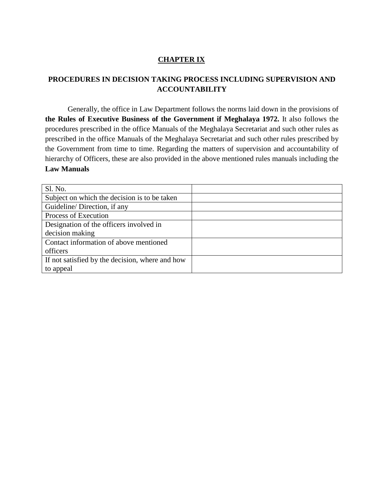### **CHAPTER IX**

## **PROCEDURES IN DECISION TAKING PROCESS INCLUDING SUPERVISION AND ACCOUNTABILITY**

Generally, the office in Law Department follows the norms laid down in the provisions of **the Rules of Executive Business of the Government if Meghalaya 1972.** It also follows the procedures prescribed in the office Manuals of the Meghalaya Secretariat and such other rules as prescribed in the office Manuals of the Meghalaya Secretariat and such other rules prescribed by the Government from time to time. Regarding the matters of supervision and accountability of hierarchy of Officers, these are also provided in the above mentioned rules manuals including the **Law Manuals**

| Sl. No.                                         |  |
|-------------------------------------------------|--|
| Subject on which the decision is to be taken    |  |
| Guideline/Direction, if any                     |  |
| Process of Execution                            |  |
| Designation of the officers involved in         |  |
| decision making                                 |  |
| Contact information of above mentioned          |  |
| officers                                        |  |
| If not satisfied by the decision, where and how |  |
| to appeal                                       |  |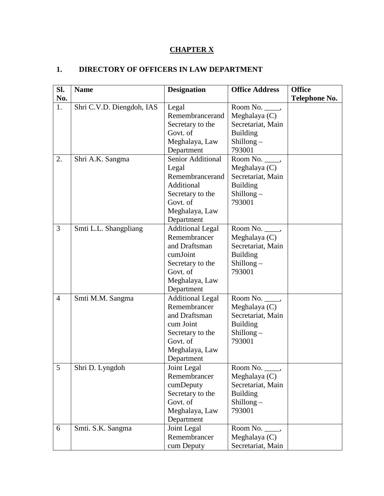# **CHAPTER X**

## **1. DIRECTORY OF OFFICERS IN LAW DEPARTMENT**

| SI.            | <b>Name</b>               | <b>Designation</b>      | <b>Office Address</b> | <b>Office</b> |
|----------------|---------------------------|-------------------------|-----------------------|---------------|
| No.            |                           |                         |                       | Telephone No. |
| 1.             | Shri C.V.D. Diengdoh, IAS | Legal                   | Room No. $\_\_\_\$    |               |
|                |                           | Remembrancerand         | Meghalaya $(C)$       |               |
|                |                           | Secretary to the        | Secretariat, Main     |               |
|                |                           | Govt. of                | <b>Building</b>       |               |
|                |                           | Meghalaya, Law          | $Shillong -$          |               |
|                |                           | Department              | 793001                |               |
| 2.             | Shri A.K. Sangma          | Senior Additional       | Room No. _____,       |               |
|                |                           | Legal                   | Meghalaya $(C)$       |               |
|                |                           | Remembrancerand         | Secretariat, Main     |               |
|                |                           | Additional              | <b>Building</b>       |               |
|                |                           | Secretary to the        | Shillong $-$          |               |
|                |                           | Govt. of                | 793001                |               |
|                |                           | Meghalaya, Law          |                       |               |
|                |                           | Department              |                       |               |
| 3              | Smti L.L. Shangpliang     | <b>Additional Legal</b> | Room No. _____,       |               |
|                |                           | Remembrancer            | Meghalaya (C)         |               |
|                |                           | and Draftsman           | Secretariat, Main     |               |
|                |                           | cumJoint                | <b>Building</b>       |               |
|                |                           | Secretary to the        | $Shillong -$          |               |
|                |                           | Govt. of                | 793001                |               |
|                |                           | Meghalaya, Law          |                       |               |
|                |                           | Department              |                       |               |
| $\overline{4}$ | Smti M.M. Sangma          | <b>Additional Legal</b> | Room No. _____,       |               |
|                |                           | Remembrancer            | Meghalaya $(C)$       |               |
|                |                           | and Draftsman           | Secretariat, Main     |               |
|                |                           | cum Joint               | <b>Building</b>       |               |
|                |                           | Secretary to the        | Shillong $-$          |               |
|                |                           | Govt. of                | 793001                |               |
|                |                           | Meghalaya, Law          |                       |               |
|                |                           | Department              |                       |               |
| 5              | Shri D. Lyngdoh           | Joint Legal             | Room No. _____,       |               |
|                |                           | Remembrancer            | Meghalaya (C)         |               |
|                |                           | cumDeputy               | Secretariat, Main     |               |
|                |                           | Secretary to the        | <b>Building</b>       |               |
|                |                           | Govt. of                | $Shillong -$          |               |
|                |                           | Meghalaya, Law          | 793001                |               |
|                |                           | Department              |                       |               |
| 6              | Smti. S.K. Sangma         | Joint Legal             | Room No. _____,       |               |
|                |                           | Remembrancer            | Meghalaya $(C)$       |               |
|                |                           | cum Deputy              | Secretariat, Main     |               |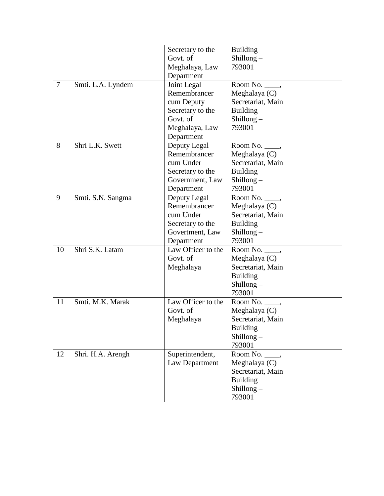|                |                   | Secretary to the   | <b>Building</b>    |  |
|----------------|-------------------|--------------------|--------------------|--|
|                |                   | Govt. of           | $Shillong -$       |  |
|                |                   | Meghalaya, Law     | 793001             |  |
|                |                   | Department         |                    |  |
| $\overline{7}$ | Smti. L.A. Lyndem | Joint Legal        | Room No. _____,    |  |
|                |                   | Remembrancer       | Meghalaya $(C)$    |  |
|                |                   | cum Deputy         | Secretariat, Main  |  |
|                |                   | Secretary to the   | <b>Building</b>    |  |
|                |                   | Govt. of           | $Shillong -$       |  |
|                |                   | Meghalaya, Law     | 793001             |  |
|                |                   | Department         |                    |  |
| 8              | Shri L.K. Swett   | Deputy Legal       | Room No. _____,    |  |
|                |                   | Remembrancer       | Meghalaya (C)      |  |
|                |                   | cum Under          | Secretariat, Main  |  |
|                |                   | Secretary to the   | <b>Building</b>    |  |
|                |                   | Government, Law    | $Shillong -$       |  |
|                |                   | Department         | 793001             |  |
| 9              | Smti. S.N. Sangma | Deputy Legal       | Room No. $\_\_\_\$ |  |
|                |                   | Remembrancer       | Meghalaya (C)      |  |
|                |                   | cum Under          | Secretariat, Main  |  |
|                |                   | Secretary to the   | <b>Building</b>    |  |
|                |                   | Govertment, Law    | $Shillong -$       |  |
|                |                   | Department         | 793001             |  |
| 10             | Shri S.K. Latam   | Law Officer to the | Room No. _____,    |  |
|                |                   | Govt. of           | Meghalaya (C)      |  |
|                |                   | Meghalaya          | Secretariat, Main  |  |
|                |                   |                    | <b>Building</b>    |  |
|                |                   |                    | Shillong $-$       |  |
|                |                   |                    | 793001             |  |
| 11             | Smti. M.K. Marak  | Law Officer to the | Room No. $\_\_\_\$ |  |
|                |                   | Govt. of           | Meghalaya (C)      |  |
|                |                   | Meghalaya          | Secretariat, Main  |  |
|                |                   |                    | <b>Building</b>    |  |
|                |                   |                    | $Shillong -$       |  |
|                |                   |                    | 793001             |  |
| 12             | Shri. H.A. Arengh | Superintendent,    | Room No. ____,     |  |
|                |                   | Law Department     | Meghalaya (C)      |  |
|                |                   |                    | Secretariat, Main  |  |
|                |                   |                    | <b>Building</b>    |  |
|                |                   |                    | Shillong $-$       |  |
|                |                   |                    | 793001             |  |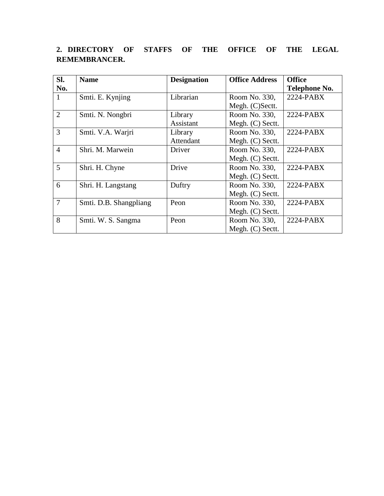| SI.            | <b>Name</b>            | <b>Designation</b> | <b>Office Address</b> | <b>Office</b>        |
|----------------|------------------------|--------------------|-----------------------|----------------------|
| No.            |                        |                    |                       | <b>Telephone No.</b> |
| 1              | Smti. E. Kynjing       | Librarian          | Room No. 330,         | 2224-PABX            |
|                |                        |                    | Megh. (C)Sectt.       |                      |
| $\overline{2}$ | Smti. N. Nongbri       | Library            | Room No. 330,         | 2224-PABX            |
|                |                        | Assistant          | Megh. (C) Sectt.      |                      |
| 3              | Smti. V.A. Warjri      | Library            | Room No. 330,         | 2224-PABX            |
|                |                        | Attendant          | Megh. (C) Sectt.      |                      |
| $\overline{4}$ | Shri. M. Marwein       | Driver             | Room No. 330,         | 2224-PABX            |
|                |                        |                    | Megh. (C) Sectt.      |                      |
| 5              | Shri. H. Chyne         | Drive              | Room No. 330,         | $2224$ -PABX         |
|                |                        |                    | Megh. (C) Sectt.      |                      |
| 6              | Shri. H. Langstang     | Duftry             | Room No. 330,         | $2224$ -PABX         |
|                |                        |                    | Megh. (C) Sectt.      |                      |
| $\overline{7}$ | Smti. D.B. Shangpliang | Peon               | Room No. 330,         | 2224-PABX            |
|                |                        |                    | Megh. (C) Sectt.      |                      |
| 8              | Smti. W. S. Sangma     | Peon               | Room No. 330,         | 2224-PABX            |
|                |                        |                    | Megh. (C) Sectt.      |                      |

# **2. DIRECTORY OF STAFFS OF THE OFFICE OF THE LEGAL REMEMBRANCER.**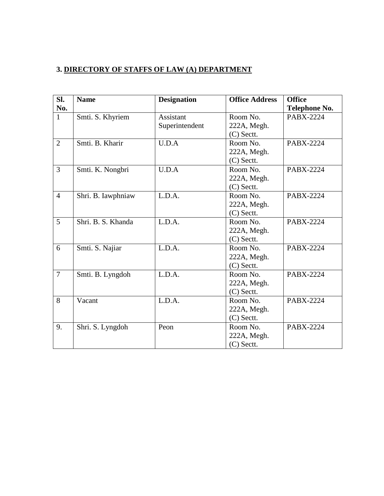## **3. DIRECTORY OF STAFFS OF LAW (A) DEPARTMENT**

| Sl.            | <b>Name</b>        | <b>Designation</b> | <b>Office Address</b> | <b>Office</b>    |
|----------------|--------------------|--------------------|-----------------------|------------------|
| No.            |                    |                    |                       | Telephone No.    |
| $\mathbf{1}$   | Smti. S. Khyriem   | <b>Assistant</b>   | Room No.              | <b>PABX-2224</b> |
|                |                    | Superintendent     | 222A, Megh.           |                  |
|                |                    |                    | $(C)$ Sectt.          |                  |
| $\overline{2}$ | Smti. B. Kharir    | U.D.A              | Room No.              | <b>PABX-2224</b> |
|                |                    |                    | 222A, Megh.           |                  |
|                |                    |                    | $(C)$ Sectt.          |                  |
| $\overline{3}$ | Smti. K. Nongbri   | U.D.A              | Room No.              | <b>PABX-2224</b> |
|                |                    |                    | 222A, Megh.           |                  |
|                |                    |                    | (C) Sectt.            |                  |
| $\overline{4}$ | Shri. B. Iawphniaw | L.D.A.             | Room No.              | <b>PABX-2224</b> |
|                |                    |                    | 222A, Megh.           |                  |
|                |                    |                    | $(C)$ Sectt.          |                  |
| $\overline{5}$ | Shri. B. S. Khanda | L.D.A.             | Room No.              | <b>PABX-2224</b> |
|                |                    |                    | 222A, Megh.           |                  |
|                |                    |                    | $(C)$ Sectt.          |                  |
| 6              | Smti. S. Najiar    | L.D.A.             | Room No.              | PABX-2224        |
|                |                    |                    | 222A, Megh.           |                  |
|                |                    |                    | $(C)$ Sectt.          |                  |
| $\overline{7}$ | Smti. B. Lyngdoh   | L.D.A.             | Room No.              | <b>PABX-2224</b> |
|                |                    |                    | 222A, Megh.           |                  |
|                |                    |                    | $(C)$ Sectt.          |                  |
| 8              | Vacant             | L.D.A.             | Room No.              | <b>PABX-2224</b> |
|                |                    |                    | 222A, Megh.           |                  |
|                |                    |                    | $(C)$ Sectt.          |                  |
| 9.             | Shri. S. Lyngdoh   | Peon               | Room No.              | PABX-2224        |
|                |                    |                    | 222A, Megh.           |                  |
|                |                    |                    | $(C)$ Sectt.          |                  |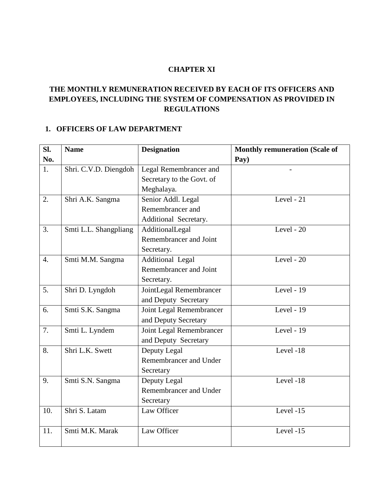#### **CHAPTER XI**

## **THE MONTHLY REMUNERATION RECEIVED BY EACH OF ITS OFFICERS AND EMPLOYEES, INCLUDING THE SYSTEM OF COMPENSATION AS PROVIDED IN REGULATIONS**

## **1. OFFICERS OF LAW DEPARTMENT**

| SI.              | <b>Name</b>           | <b>Designation</b>        | <b>Monthly remuneration (Scale of</b> |
|------------------|-----------------------|---------------------------|---------------------------------------|
| No.              |                       |                           | Pay)                                  |
| 1.               | Shri. C.V.D. Diengdoh | Legal Remembrancer and    |                                       |
|                  |                       | Secretary to the Govt. of |                                       |
|                  |                       | Meghalaya.                |                                       |
| 2.               | Shri A.K. Sangma      | Senior Addl. Legal        | Level - $21$                          |
|                  |                       | Remembrancer and          |                                       |
|                  |                       | Additional Secretary.     |                                       |
| 3.               | Smti L.L. Shangpliang | AdditionalLegal           | Level - 20                            |
|                  |                       | Remembrancer and Joint    |                                       |
|                  |                       | Secretary.                |                                       |
| $\overline{4}$ . | Smti M.M. Sangma      | <b>Additional Legal</b>   | Level - $20$                          |
|                  |                       | Remembrancer and Joint    |                                       |
|                  |                       | Secretary.                |                                       |
| 5.               | Shri D. Lyngdoh       | JointLegal Remembrancer   | Level - 19                            |
|                  |                       | and Deputy Secretary      |                                       |
| 6.               | Smti S.K. Sangma      | Joint Legal Remembrancer  | Level - 19                            |
|                  |                       | and Deputy Secretary      |                                       |
| 7.               | Smti L. Lyndem        | Joint Legal Remembrancer  | Level - 19                            |
|                  |                       | and Deputy Secretary      |                                       |
| 8.               | Shri L.K. Swett       | Deputy Legal              | Level -18                             |
|                  |                       | Remembrancer and Under    |                                       |
|                  |                       | Secretary                 |                                       |
| 9.               | Smti S.N. Sangma      | Deputy Legal              | Level -18                             |
|                  |                       | Remembrancer and Under    |                                       |
|                  |                       | Secretary                 |                                       |
| 10.              | Shri S. Latam         | Law Officer               | Level -15                             |
|                  |                       |                           |                                       |
| 11.              | Smti M.K. Marak       | Law Officer               | Level -15                             |
|                  |                       |                           |                                       |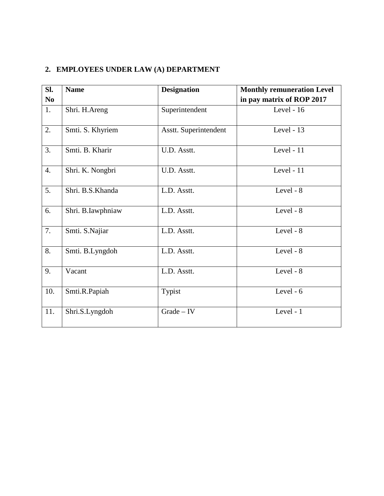## **2. EMPLOYEES UNDER LAW (A) DEPARTMENT**

| Sl.              | <b>Name</b>       | <b>Designation</b>    | <b>Monthly remuneration Level</b> |
|------------------|-------------------|-----------------------|-----------------------------------|
| N <sub>0</sub>   |                   |                       | in pay matrix of ROP 2017         |
| 1.               | Shri. H.Areng     | Superintendent        | Level - 16                        |
| 2.               | Smti. S. Khyriem  | Asstt. Superintendent | Level - $13$                      |
| 3.               | Smti. B. Kharir   | U.D. Asstt.           | Level - 11                        |
| $\overline{4}$ . | Shri. K. Nongbri  | U.D. Asstt.           | Level - 11                        |
| 5.               | Shri. B.S.Khanda  | L.D. Asstt.           | Level - 8                         |
| 6.               | Shri. B.Iawphniaw | L.D. Asstt.           | Level - 8                         |
| 7.               | Smti. S.Najiar    | L.D. Asstt.           | Level - 8                         |
| 8.               | Smti. B.Lyngdoh   | L.D. Asstt.           | Level - 8                         |
| 9.               | Vacant            | L.D. Asstt.           | Level - 8                         |
| 10.              | Smti.R.Papiah     | Typist                | Level - 6                         |
| 11.              | Shri.S.Lyngdoh    | $Grade - IV$          | Level - 1                         |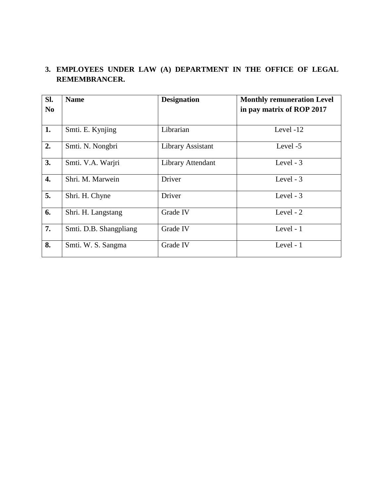## **3. EMPLOYEES UNDER LAW (A) DEPARTMENT IN THE OFFICE OF LEGAL REMEMBRANCER.**

| SI.<br>N <sub>0</sub> | <b>Name</b>            | <b>Designation</b> | <b>Monthly remuneration Level</b><br>in pay matrix of ROP 2017 |
|-----------------------|------------------------|--------------------|----------------------------------------------------------------|
|                       |                        |                    |                                                                |
| 1.                    | Smti. E. Kynjing       | Librarian          | Level -12                                                      |
| 2.                    | Smti. N. Nongbri       | Library Assistant  | Level -5                                                       |
| 3.                    | Smti. V.A. Warjri      | Library Attendant  | Level - 3                                                      |
| 4.                    | Shri. M. Marwein       | Driver             | Level - $3$                                                    |
| 5.                    | Shri. H. Chyne         | Driver             | Level - 3                                                      |
| 6.                    | Shri. H. Langstang     | Grade IV           | Level - $2$                                                    |
| 7.                    | Smti. D.B. Shangpliang | Grade IV           | Level - 1                                                      |
| 8.                    | Smti. W. S. Sangma     | Grade IV           | Level - 1                                                      |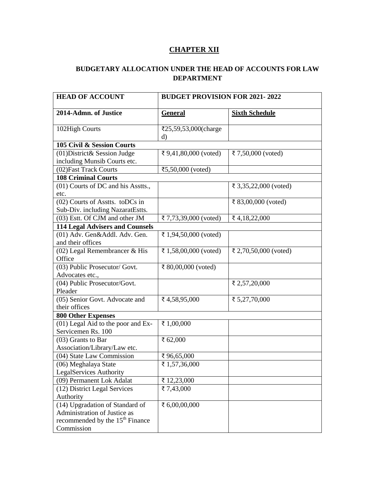## **CHAPTER XII**

### **BUDGETARY ALLOCATION UNDER THE HEAD OF ACCOUNTS FOR LAW DEPARTMENT**

| <b>HEAD OF ACCOUNT</b>                      | <b>BUDGET PROVISION FOR 2021-2022</b> |                       |  |  |  |  |  |  |
|---------------------------------------------|---------------------------------------|-----------------------|--|--|--|--|--|--|
| 2014-Admn. of Justice                       | <b>General</b>                        | <b>Sixth Schedule</b> |  |  |  |  |  |  |
| 102High Courts                              | ₹25,59,53,000(charge                  |                       |  |  |  |  |  |  |
|                                             | d)                                    |                       |  |  |  |  |  |  |
| 105 Civil & Session Courts                  |                                       |                       |  |  |  |  |  |  |
| (01) District & Session Judge               | ₹ 9,41,80,000 (voted)                 | ₹ 7,50,000 (voted)    |  |  |  |  |  |  |
| including Munsib Courts etc.                |                                       |                       |  |  |  |  |  |  |
| (02) Fast Track Courts                      | ₹5,50,000 (voted)                     |                       |  |  |  |  |  |  |
| <b>108 Criminal Courts</b>                  |                                       |                       |  |  |  |  |  |  |
| (01) Courts of DC and his Asstts.,          |                                       | ₹ 3,35,22,000 (voted) |  |  |  |  |  |  |
| etc.                                        |                                       |                       |  |  |  |  |  |  |
| (02) Courts of Asstts. toDCs in             |                                       | ₹ 83,00,000 (voted)   |  |  |  |  |  |  |
| Sub-Div. including NazaratEstts.            |                                       |                       |  |  |  |  |  |  |
| (03) Estt. Of CJM and other JM              | ₹ 7,73,39,000 (voted)                 | ₹4,18,22,000          |  |  |  |  |  |  |
| <b>114 Legal Advisers and Counsels</b>      |                                       |                       |  |  |  |  |  |  |
| (01) Adv. Gen&Addl. Adv. Gen.               | ₹ 1,94,50,000 (voted)                 |                       |  |  |  |  |  |  |
| and their offices                           |                                       |                       |  |  |  |  |  |  |
| (02) Legal Remembrancer & His               | ₹ 1,58,00,000 (voted)                 | ₹ 2,70,50,000 (voted) |  |  |  |  |  |  |
| Office                                      |                                       |                       |  |  |  |  |  |  |
| (03) Public Prosecutor/ Govt.               | ₹ 80,00,000 (voted)                   |                       |  |  |  |  |  |  |
| Advocates etc.,                             |                                       |                       |  |  |  |  |  |  |
| (04) Public Prosecutor/Govt.                |                                       | ₹ 2,57,20,000         |  |  |  |  |  |  |
| Pleader                                     |                                       |                       |  |  |  |  |  |  |
| (05) Senior Govt. Advocate and              | ₹ 4,58,95,000                         | ₹ 5,27,70,000         |  |  |  |  |  |  |
| their offices                               |                                       |                       |  |  |  |  |  |  |
| <b>800 Other Expenses</b>                   |                                       |                       |  |  |  |  |  |  |
| (01) Legal Aid to the poor and Ex-          | ₹ 1,00,000                            |                       |  |  |  |  |  |  |
| Servicemen Rs. 100                          |                                       |                       |  |  |  |  |  |  |
| (03) Grants to Bar                          | ₹ 62,000                              |                       |  |  |  |  |  |  |
| Association/Library/Law etc.                |                                       |                       |  |  |  |  |  |  |
| (04) State Law Commission                   | ₹96,65,000                            |                       |  |  |  |  |  |  |
| (06) Meghalaya State                        | ₹ 1,57,36,000                         |                       |  |  |  |  |  |  |
| LegalServices Authority                     |                                       |                       |  |  |  |  |  |  |
| (09) Permanent Lok Adalat                   | ₹ 12,23,000                           |                       |  |  |  |  |  |  |
| (12) District Legal Services                | ₹ 7,43,000                            |                       |  |  |  |  |  |  |
| Authority                                   |                                       |                       |  |  |  |  |  |  |
| (14) Upgradation of Standard of             | ₹ 6,00,00,000                         |                       |  |  |  |  |  |  |
| Administration of Justice as                |                                       |                       |  |  |  |  |  |  |
| recommended by the 15 <sup>th</sup> Finance |                                       |                       |  |  |  |  |  |  |
| Commission                                  |                                       |                       |  |  |  |  |  |  |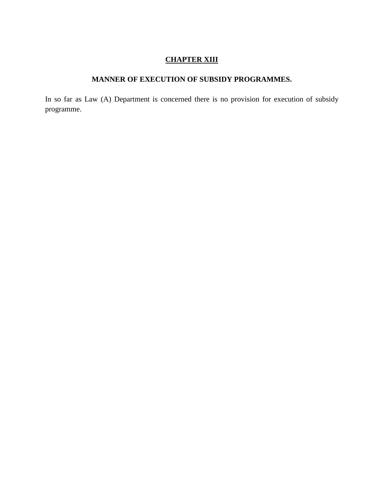## **CHAPTER XIII**

## **MANNER OF EXECUTION OF SUBSIDY PROGRAMMES.**

In so far as Law (A) Department is concerned there is no provision for execution of subsidy programme.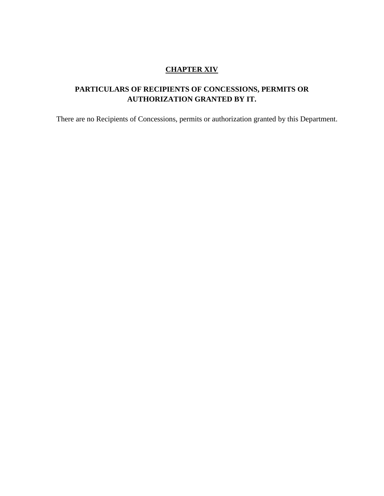### **CHAPTER XIV**

# **PARTICULARS OF RECIPIENTS OF CONCESSIONS, PERMITS OR AUTHORIZATION GRANTED BY IT.**

There are no Recipients of Concessions, permits or authorization granted by this Department.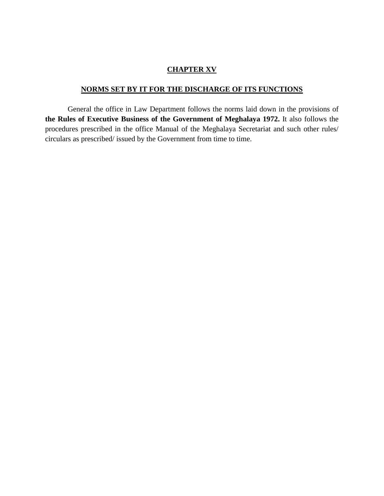### **CHAPTER XV**

## **NORMS SET BY IT FOR THE DISCHARGE OF ITS FUNCTIONS**

General the office in Law Department follows the norms laid down in the provisions of **the Rules of Executive Business of the Government of Meghalaya 1972.** It also follows the procedures prescribed in the office Manual of the Meghalaya Secretariat and such other rules/ circulars as prescribed/ issued by the Government from time to time.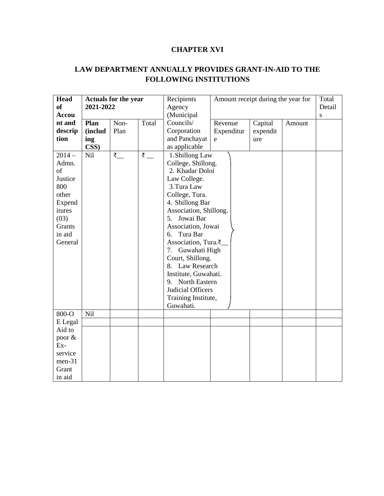## **CHAPTER XVI**

## **LAW DEPARTMENT ANNUALLY PROVIDES GRANT-IN-AID TO THE FOLLOWING INSTITUTIONS**

| <b>Head</b>   | <b>Actuals for the year</b> |      | Recipients                                          | Amount receipt during the year for |                    |          | Total  |           |  |  |
|---------------|-----------------------------|------|-----------------------------------------------------|------------------------------------|--------------------|----------|--------|-----------|--|--|
| <sub>of</sub> | 2021-2022                   |      | Agency                                              |                                    |                    |          | Detail |           |  |  |
| <b>Accou</b>  |                             |      |                                                     | (Municipal                         |                    |          |        | ${\bf S}$ |  |  |
| nt and        | Plan                        | Non- | Total                                               | Councils/                          | Revenue            | Capital  | Amount |           |  |  |
| descrip       | (includ                     | Plan |                                                     | Corporation                        | Expenditur         | expendit |        |           |  |  |
| tion          | ing                         |      |                                                     | and Panchayat                      | e                  | ure      |        |           |  |  |
|               | CSS)                        |      |                                                     | as applicable                      |                    |          |        |           |  |  |
| $2014-$       | Nil                         | ₹    | $\overline{\overline{\overline{\xi}}}$ <sub>—</sub> | 1. Shillong Law                    |                    |          |        |           |  |  |
| Admn.         |                             |      |                                                     | College, Shillong.                 |                    |          |        |           |  |  |
| of            |                             |      |                                                     |                                    | 2. Khadar Doloi    |          |        |           |  |  |
| Justice       |                             |      |                                                     | Law College.                       |                    |          |        |           |  |  |
| 800           |                             |      |                                                     | 3. Tura Law                        |                    |          |        |           |  |  |
| other         |                             |      |                                                     | College, Tura.                     |                    |          |        |           |  |  |
| Expend        |                             |      |                                                     | 4. Shillong Bar                    |                    |          |        |           |  |  |
| itures        |                             |      |                                                     | Association, Shillong.             |                    |          |        |           |  |  |
| (03)          |                             |      |                                                     | 5.                                 | Jowai Bar          |          |        |           |  |  |
| Grants        |                             |      |                                                     |                                    | Association, Jowai |          |        |           |  |  |
| in aid        |                             |      |                                                     | Tura Bar<br>6.                     |                    |          |        |           |  |  |
| General       |                             |      |                                                     | Association, Tura.₹                |                    |          |        |           |  |  |
|               |                             |      |                                                     | 7. Guwahati High                   |                    |          |        |           |  |  |
|               |                             |      |                                                     | Court, Shillong.                   |                    |          |        |           |  |  |
|               |                             |      |                                                     | 8. Law Research                    |                    |          |        |           |  |  |
|               |                             |      |                                                     | Institute, Guwahati.               |                    |          |        |           |  |  |
|               |                             |      |                                                     | 9. North Eastern                   |                    |          |        |           |  |  |
|               |                             |      |                                                     | Judicial Officers                  |                    |          |        |           |  |  |
|               |                             |      |                                                     | Training Institute,                |                    |          |        |           |  |  |
|               |                             |      |                                                     | Guwahati.                          |                    |          |        |           |  |  |
| 800-O         | <b>Nil</b>                  |      |                                                     |                                    |                    |          |        |           |  |  |
| E Legal       |                             |      |                                                     |                                    |                    |          |        |           |  |  |
| Aid to        |                             |      |                                                     |                                    |                    |          |        |           |  |  |
| poor &        |                             |      |                                                     |                                    |                    |          |        |           |  |  |
| Ex-           |                             |      |                                                     |                                    |                    |          |        |           |  |  |
| service       |                             |      |                                                     |                                    |                    |          |        |           |  |  |
| $men-31$      |                             |      |                                                     |                                    |                    |          |        |           |  |  |
| Grant         |                             |      |                                                     |                                    |                    |          |        |           |  |  |
| in aid        |                             |      |                                                     |                                    |                    |          |        |           |  |  |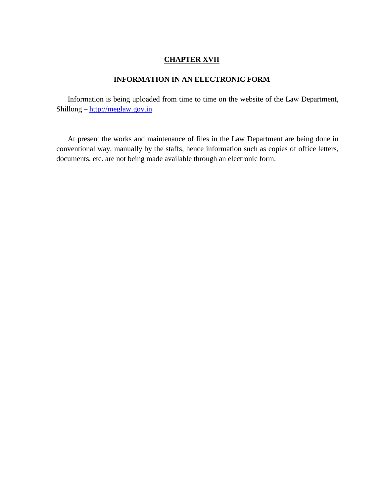### **CHAPTER XVII**

#### **INFORMATION IN AN ELECTRONIC FORM**

Information is being uploaded from time to time on the website of the Law Department, Shillong – [http://meglaw.gov.in](http://meglaw.gov.in/)

At present the works and maintenance of files in the Law Department are being done in conventional way, manually by the staffs, hence information such as copies of office letters, documents, etc. are not being made available through an electronic form.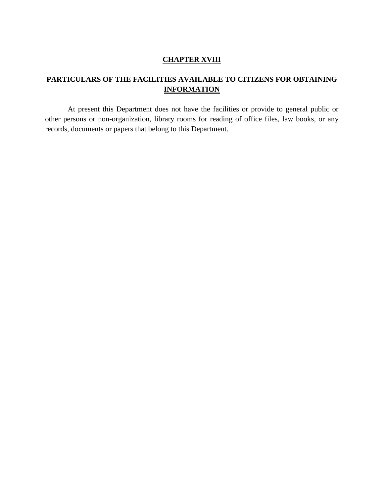### **CHAPTER XVIII**

## **PARTICULARS OF THE FACILITIES AVAILABLE TO CITIZENS FOR OBTAINING INFORMATION**

At present this Department does not have the facilities or provide to general public or other persons or non-organization, library rooms for reading of office files, law books, or any records, documents or papers that belong to this Department.